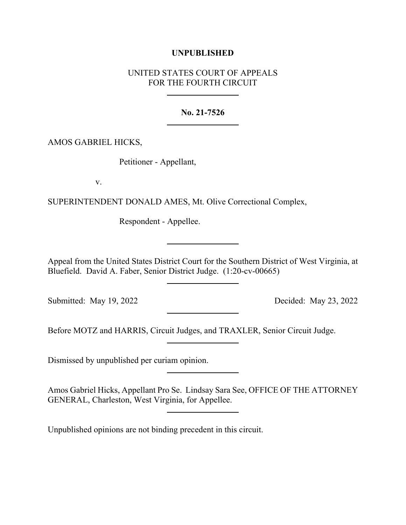## **UNPUBLISHED**

## UNITED STATES COURT OF APPEALS FOR THE FOURTH CIRCUIT

## **No. 21-7526**

AMOS GABRIEL HICKS,

Petitioner - Appellant,

v.

SUPERINTENDENT DONALD AMES, Mt. Olive Correctional Complex,

Respondent - Appellee.

Appeal from the United States District Court for the Southern District of West Virginia, at Bluefield. David A. Faber, Senior District Judge. (1:20-cv-00665)

Submitted: May 19, 2022 Decided: May 23, 2022

Before MOTZ and HARRIS, Circuit Judges, and TRAXLER, Senior Circuit Judge.

Dismissed by unpublished per curiam opinion.

Amos Gabriel Hicks, Appellant Pro Se. Lindsay Sara See, OFFICE OF THE ATTORNEY GENERAL, Charleston, West Virginia, for Appellee.

Unpublished opinions are not binding precedent in this circuit.